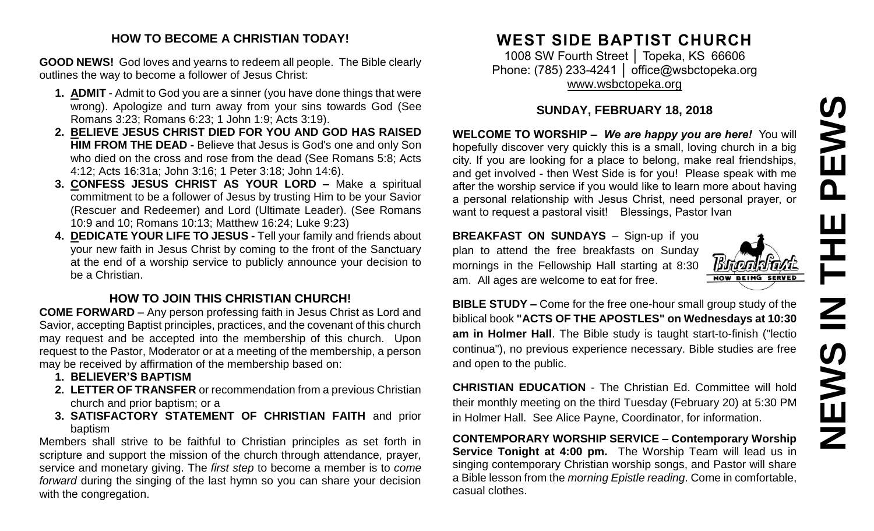# **NEWS IN THE PEWSSME**  $\mathbf{\Omega}$ 프  $\overline{\mathbf{z}}$ NEWS

## **HOW TO BECOME A CHRISTIAN TODAY!**

**GOOD NEWS!** God loves and yearns to redeem all people. The Bible clearly outlines the way to become a follower of Jesus Christ:

- **1. ADMIT** Admit to God you are a sinner (you have done things that were wrong). Apologize and turn away from your sins towards God (See Romans 3:23; Romans 6:23; 1 John 1:9; Acts 3:19).
- **2. BELIEVE JESUS CHRIST DIED FOR YOU AND GOD HAS RAISED HIM FROM THE DEAD -** Believe that Jesus is God's one and only Son who died on the cross and rose from the dead (See Romans 5:8; Acts 4:12; Acts 16:31a; John 3:16; 1 Peter 3:18; John 14:6).
- **3. CONFESS JESUS CHRIST AS YOUR LORD –** Make a spiritual commitment to be a follower of Jesus by trusting Him to be your Savior (Rescuer and Redeemer) and Lord (Ultimate Leader). (See Romans 10:9 and 10; Romans 10:13; Matthew 16:24; Luke 9:23)
- **4. DEDICATE YOUR LIFE TO JESUS -** Tell your family and friends about your new faith in Jesus Christ by coming to the front of the Sanctuary at the end of a worship service to publicly announce your decision to be a Christian.

## **HOW TO JOIN THIS CHRISTIAN CHURCH!**

**COME FORWARD** – Any person professing faith in Jesus Christ as Lord and Savior, accepting Baptist principles, practices, and the covenant of this church may request and be accepted into the membership of this church. Upon request to the Pastor, Moderator or at a meeting of the membership, a person may be received by affirmation of the membership based on:

- **1. BELIEVER'S BAPTISM**
- **2. LETTER OF TRANSFER** or recommendation from a previous Christian church and prior baptism; or a
- **3. SATISFACTORY STATEMENT OF CHRISTIAN FAITH** and prior baptism

Members shall strive to be faithful to Christian principles as set forth in scripture and support the mission of the church through attendance, prayer, service and monetary giving. The *first step* to become a member is to *come forward* during the singing of the last hymn so you can share your decision with the congregation.

# **WEST SIDE BAPTIST CHURCH**

1008 SW Fourth Street | Topeka, KS 66606 Phone: (785) 233-4241 │ [office@wsbctopeka.org](mailto:office@wsbctopeka.org) [www.wsbctopeka.org](http://www.wsbctopeka.org/)

## **SUNDAY, FEBRUARY 18, 2018**

**WELCOME TO WORSHIP –** *We are happy you are here!* You will hopefully discover very quickly this is a small, loving church in a big city. If you are looking for a place to belong, make real friendships, and get involved - then West Side is for you! Please speak with me after the worship service if you would like to learn more about having a personal relationship with Jesus Christ, need personal prayer, or want to request a pastoral visit! Blessings, Pastor Ivan

**BREAKFAST ON SUNDAYS** - Sign-up if you plan to attend the free breakfasts on Sunday mornings in the Fellowship Hall starting at 8:30 am. All ages are welcome to eat for free.



**BIBLE STUDY –** Come for the free one-hour small group study of the biblical book **"ACTS OF THE APOSTLES" on Wednesdays at 10:30 am in Holmer Hall**. The Bible study is taught start-to-finish ("lectio continua"), no previous experience necessary. Bible studies are free and open to the public.

**CHRISTIAN EDUCATION** - The Christian Ed. Committee will hold their monthly meeting on the third Tuesday (February 20) at 5:30 PM in Holmer Hall. See Alice Payne, Coordinator, for information.

**CONTEMPORARY WORSHIP SERVICE – Contemporary Worship Service Tonight at 4:00 pm.** The Worship Team will lead us in singing contemporary Christian worship songs, and Pastor will share a Bible lesson from the *morning Epistle reading*. Come in comfortable, casual clothes.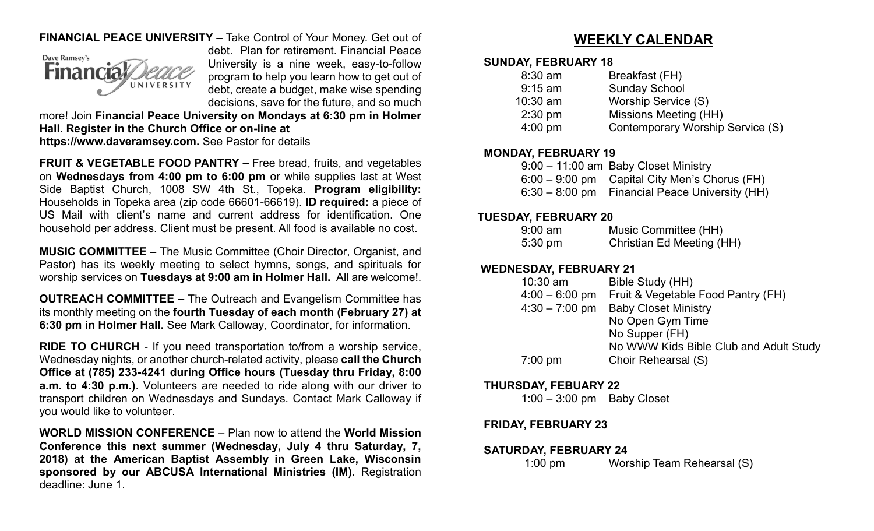## **FINANCIAL PEACE UNIVERSITY –** Take Control of Your Money. Get out of



debt. Plan for retirement. Financial Peace University is a nine week, easy-to-follow program to help you learn how to get out of debt, create a budget, make wise spending decisions, save for the future, and so much

more! Join **Financial Peace University on Mondays at 6:30 pm in Holmer Hall. Register in the Church Office or on-line at https://www.daveramsey.com.** See Pastor for details

**FRUIT & VEGETABLE FOOD PANTRY –** Free bread, fruits, and vegetables on **Wednesdays from 4:00 pm to 6:00 pm** or while supplies last at West Side Baptist Church, 1008 SW 4th St., Topeka. **Program eligibility:**  Households in Topeka area (zip code 66601-66619). **ID required:** a piece of US Mail with client's name and current address for identification. One household per address. Client must be present. All food is available no cost.

**MUSIC COMMITTEE –** The Music Committee (Choir Director, Organist, and Pastor) has its weekly meeting to select hymns, songs, and spirituals for worship services on **Tuesdays at 9:00 am in Holmer Hall.** All are welcome!.

**OUTREACH COMMITTEE –** The Outreach and Evangelism Committee has its monthly meeting on the **fourth Tuesday of each month (February 27) at 6:30 pm in Holmer Hall.** See Mark Calloway, Coordinator, for information.

**RIDE TO CHURCH** - If you need transportation to/from a worship service, Wednesday nights, or another church-related activity, please **call the Church Office at (785) 233-4241 during Office hours (Tuesday thru Friday, 8:00 a.m. to 4:30 p.m.)**. Volunteers are needed to ride along with our driver to transport children on Wednesdays and Sundays. Contact Mark Calloway if you would like to volunteer.

**WORLD MISSION CONFERENCE** – Plan now to attend the **World Mission Conference this next summer (Wednesday, July 4 thru Saturday, 7, 2018) at the American Baptist Assembly in Green Lake, Wisconsin sponsored by our ABCUSA International Ministries (IM)**. Registration deadline: June 1.

# **WEEKLY CALENDAR**

#### **SUNDAY, FEBRUARY 18**

| $8:30$ am  | Breakfast (FH)                   |
|------------|----------------------------------|
| $9:15$ am  | <b>Sunday School</b>             |
| $10:30$ am | Worship Service (S)              |
| $2:30$ pm  | Missions Meeting (HH)            |
| $4:00$ pm  | Contemporary Worship Service (S) |
|            |                                  |

#### **MONDAY, FEBRUARY 19**

| $9:00 - 11:00$ am Baby Closet Ministry          |
|-------------------------------------------------|
| $6:00 - 9:00$ pm Capital City Men's Chorus (FH) |
| 6:30 – 8:00 pm Financial Peace University (HH)  |

#### **TUESDAY, FEBRUARY 20**

| $9:00$ am         | Music Committee (HH)             |
|-------------------|----------------------------------|
| $5:30 \text{ pm}$ | <b>Christian Ed Meeting (HH)</b> |

#### **WEDNESDAY, FEBRUARY 21**

| $10:30$ am        | Bible Study (HH)                       |
|-------------------|----------------------------------------|
| $4:00 - 6:00$ pm  | Fruit & Vegetable Food Pantry (FH)     |
| $4:30 - 7:00$ pm  | <b>Baby Closet Ministry</b>            |
|                   | No Open Gym Time                       |
|                   | No Supper (FH)                         |
|                   | No WWW Kids Bible Club and Adult Study |
| $7:00 \text{ pm}$ | Choir Rehearsal (S)                    |
|                   |                                        |

#### **THURSDAY, FEBUARY 22**

1:00 – 3:00 pm Baby Closet

## **FRIDAY, FEBRUARY 23**

#### **SATURDAY, FEBRUARY 24**

1:00 pm Worship Team Rehearsal (S)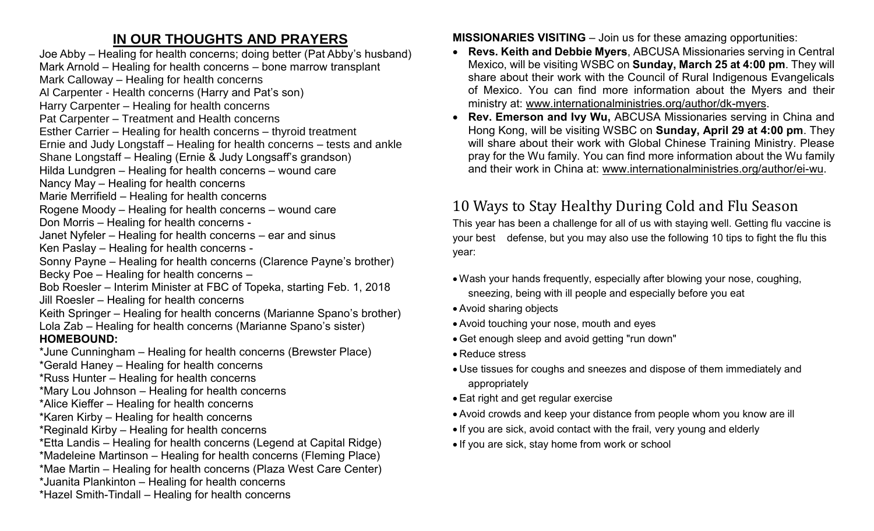# **IN OUR THOUGHTS AND PRAYERS**

Joe Abby – Healing for health concerns; doing better (Pat Abby's husband) Mark Arnold – Healing for health concerns – bone marrow transplant Mark Calloway – Healing for health concerns Al Carpenter - Health concerns (Harry and Pat's son) Harry Carpenter – Healing for health concerns Pat Carpenter – Treatment and Health concerns Esther Carrier – Healing for health concerns – thyroid treatment Ernie and Judy Longstaff – Healing for health concerns – tests and ankle Shane Longstaff – Healing (Ernie & Judy Longsaff's grandson) Hilda Lundgren – Healing for health concerns – wound care Nancy May – Healing for health concerns Marie Merrifield – Healing for health concerns Rogene Moody – Healing for health concerns – wound care Don Morris – Healing for health concerns - Janet Nyfeler – Healing for health concerns – ear and sinus Ken Paslay – Healing for health concerns - Sonny Payne – Healing for health concerns (Clarence Payne's brother) Becky Poe – Healing for health concerns – Bob Roesler – Interim Minister at FBC of Topeka, starting Feb. 1, 2018 Jill Roesler – Healing for health concerns Keith Springer – Healing for health concerns (Marianne Spano's brother) Lola Zab – Healing for health concerns (Marianne Spano's sister) **HOMEBOUND:** \*June Cunningham – Healing for health concerns (Brewster Place) \*Gerald Haney – Healing for health concerns \*Russ Hunter – Healing for health concerns \*Mary Lou Johnson – Healing for health concerns \*Alice Kieffer – Healing for health concerns \*Karen Kirby – Healing for health concerns \*Reginald Kirby – Healing for health concerns \*Etta Landis – Healing for health concerns (Legend at Capital Ridge) \*Madeleine Martinson – Healing for health concerns (Fleming Place) \*Mae Martin – Healing for health concerns (Plaza West Care Center) \*Juanita Plankinton – Healing for health concerns \*Hazel Smith-Tindall – Healing for health concerns

**MISSIONARIES VISITING** – Join us for these amazing opportunities:

- **Revs. Keith and Debbie Myers**, ABCUSA Missionaries serving in Central Mexico, will be visiting WSBC on **Sunday, March 25 at 4:00 pm**. They will share about their work with the Council of Rural Indigenous Evangelicals of Mexico. You can find more information about the Myers and their ministry at: [www.internationalministries.org/author/dk-myers.](http://www.internationalministries.org/author/dk-myers)
- **Rev. Emerson and Ivy Wu,** ABCUSA Missionaries serving in China and Hong Kong, will be visiting WSBC on **Sunday, April 29 at 4:00 pm**. They will share about their work with Global Chinese Training Ministry. Please pray for the Wu family. You can find more information about the Wu family and their work in China at: [www.internationalministries.org/author/ei-wu.](http://www.internationalministries.org/author/ei-wu)

# 10 Ways to Stay Healthy During Cold and Flu Season

This year has been a challenge for all of us with staying well. Getting flu vaccine is your best defense, but you may also use the following 10 tips to fight the flu this year:

- Wash your hands frequently, especially after blowing your nose, coughing, sneezing, being with ill people and especially before you eat
- Avoid sharing objects
- Avoid touching your nose, mouth and eyes
- Get enough sleep and avoid getting "run down"
- Reduce stress
- Use tissues for coughs and sneezes and dispose of them immediately and appropriately
- Eat right and get regular exercise
- Avoid crowds and keep your distance from people whom you know are ill
- If you are sick, avoid contact with the frail, very young and elderly
- If you are sick, stay home from work or school